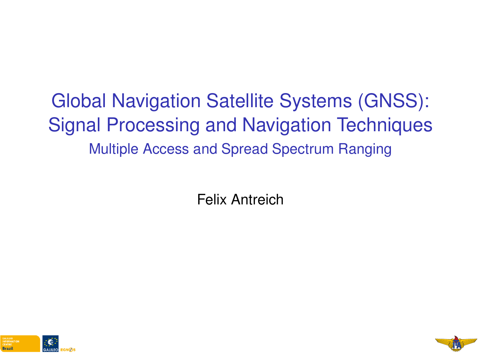# <span id="page-0-0"></span>Global Navigation Satellite Systems (GNSS): Signal Processing and Navigation Techniques Multiple Access and Spread Spectrum Ranging

Felix Antreich



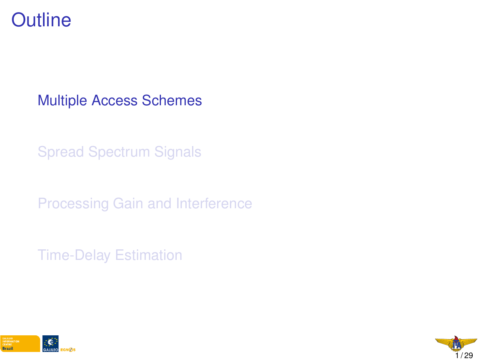#### <span id="page-1-0"></span>**Outline**

[Multiple Access Schemes](#page-1-0)

[Spread Spectrum Signals](#page-0-0)

[Processing Gain and Interference](#page-0-0)

[Time-Delay Estimation](#page-0-0)



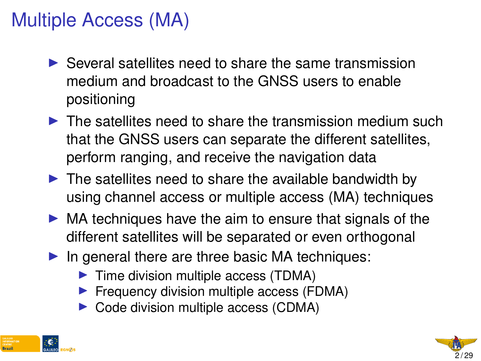### Multiple Access (MA)

- $\triangleright$  Several satellites need to share the same transmission medium and broadcast to the GNSS users to enable positioning
- $\triangleright$  The satellites need to share the transmission medium such that the GNSS users can separate the different satellites, perform ranging, and receive the navigation data
- $\triangleright$  The satellites need to share the available bandwidth by using channel access or multiple access (MA) techniques
- $\triangleright$  MA techniques have the aim to ensure that signals of the different satellites will be separated or even orthogonal
- $\blacktriangleright$  In general there are three basic MA techniques:
	- $\blacktriangleright$  Time division multiple access (TDMA)
	- Frequency division multiple access (FDMA)
	- $\triangleright$  Code division multiple access (CDMA)



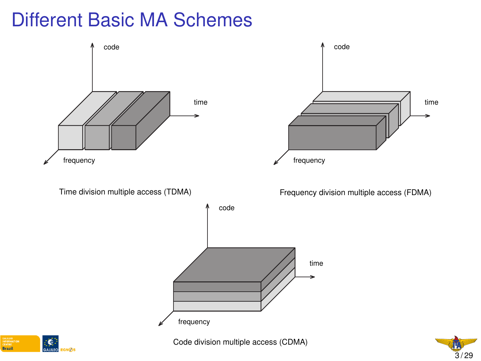### Different Basic MA Schemes





Code division multiple access (CDMA)

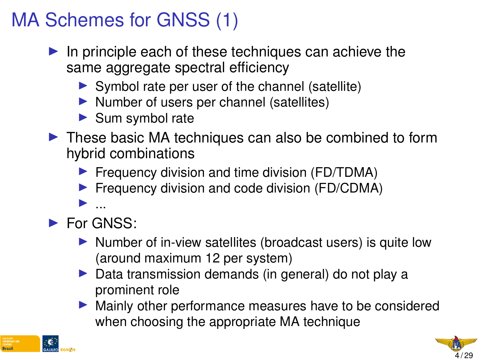# MA Schemes for GNSS (1)

- $\blacktriangleright$  In principle each of these techniques can achieve the same aggregate spectral efficiency
	- $\triangleright$  Symbol rate per user of the channel (satellite)
	- $\blacktriangleright$  Number of users per channel (satellites)
	- $\blacktriangleright$  Sum symbol rate
- $\triangleright$  These basic MA techniques can also be combined to form hybrid combinations
	- $\blacktriangleright$  Frequency division and time division (FD/TDMA)
	- $\blacktriangleright$  Frequency division and code division (FD/CDMA)
- $\blacktriangleright$  ... For GNSS:
	- Number of in-view satellites (broadcast users) is quite low (around maximum 12 per system)
	- $\triangleright$  Data transmission demands (in general) do not play a prominent role
	- $\blacktriangleright$  Mainly other performance measures have to be considered when choosing the appropriate MA technique



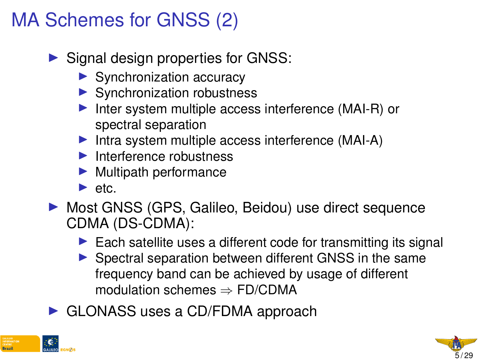# MA Schemes for GNSS (2)

- $\triangleright$  Signal design properties for GNSS:
	- $\blacktriangleright$  Synchronization accuracy
	- $\blacktriangleright$  Synchronization robustness
	- Inter system multiple access interference (MAI-R) or spectral separation
	- Intra system multiple access interference  $(MAI-A)$
	- $\blacktriangleright$  Interference robustness
	- $\blacktriangleright$  Multipath performance
	- $\blacktriangleright$  etc.
- ▶ Most GNSS (GPS, Galileo, Beidou) use direct sequence CDMA (DS-CDMA):
	- $\blacktriangleright$  Each satellite uses a different code for transmitting its signal
	- $\triangleright$  Spectral separation between different GNSS in the same frequency band can be achieved by usage of different modulation schemes ⇒ FD/CDMA
- $\triangleright$  GLONASS uses a CD/FDMA approach



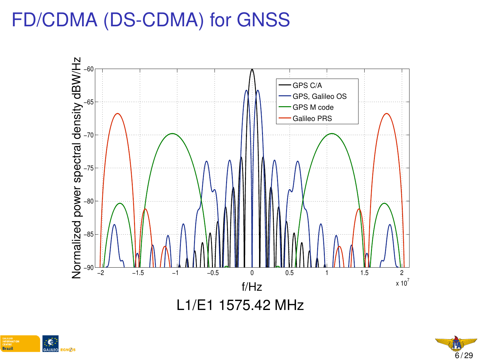### FD/CDMA (DS-CDMA) for GNSS





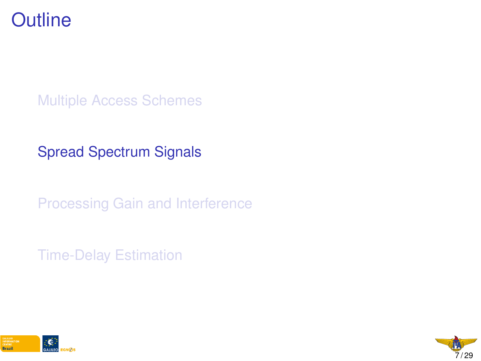

[Multiple Access Schemes](#page-1-0)

[Spread Spectrum Signals](#page-0-0)

[Processing Gain and Interference](#page-0-0)

[Time-Delay Estimation](#page-0-0)



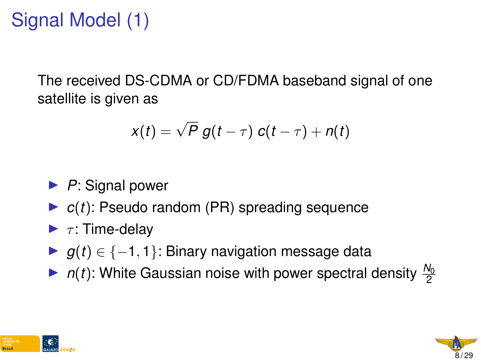# Signal Model (1)

The received DS-CDMA or CD/FDMA baseband signal of one satellite is given as

$$
x(t) = \sqrt{P} g(t-\tau) c(t-\tau) + n(t)
$$

- ▶ *P*: Signal power
- $\triangleright$   $c(t)$ : Pseudo random (PR) spreading sequence
- $\blacktriangleright$   $\tau$ : Time-delay
- $\triangleright$  *g*(*t*) ∈ {-1, 1}: Binary navigation message data
- $\blacktriangleright$  *n*(*t*): White Gaussian noise with power spectral density  $\frac{N_0}{2}$



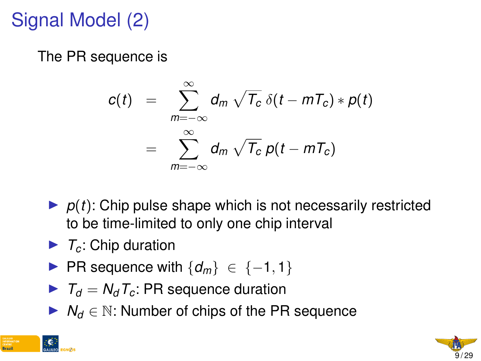# Signal Model (2)

The PR sequence is

$$
c(t) = \sum_{m=-\infty}^{\infty} d_m \sqrt{T_c} \, \delta(t - mT_c) * p(t)
$$
  
= 
$$
\sum_{m=-\infty}^{\infty} d_m \sqrt{T_c} \, p(t - mT_c)
$$

- $\triangleright$   $p(t)$ : Chip pulse shape which is not necessarily restricted to be time-limited to only one chip interval
- $\blacktriangleright$   $\tau_c$ : Chip duration
- **► PR sequence with**  $\{d_m\}$   $\in$   $\{-1, 1\}$
- $\blacktriangleright$   $T_d = N_d T_c$ : PR sequence duration
- **►**  $N_d \in \mathbb{N}$ : Number of chips of the PR sequence



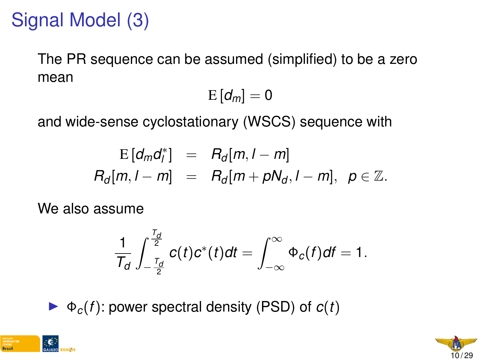# Signal Model (3)

The PR sequence can be assumed (simplified) to be a zero mean

$$
\mathrm{E}\left[d_{m}\right]=0
$$

and wide-sense cyclostationary (WSCS) sequence with

$$
E\left[d_{m}d_{l}^{*}\right] = R_{d}[m, l-m]
$$
  

$$
R_{d}[m, l-m] = R_{d}[m+pN_{d}, l-m], \ p \in \mathbb{Z}.
$$

We also assume

$$
\frac{1}{T_d}\int_{-\frac{T_d}{2}}^{\frac{T_d}{2}}c(t)c^*(t)dt=\int_{-\infty}^{\infty}\Phi_c(f)dt=1.
$$

 $\blacktriangleright \Phi_c(f)$ : power spectral density (PSD) of  $c(f)$ 



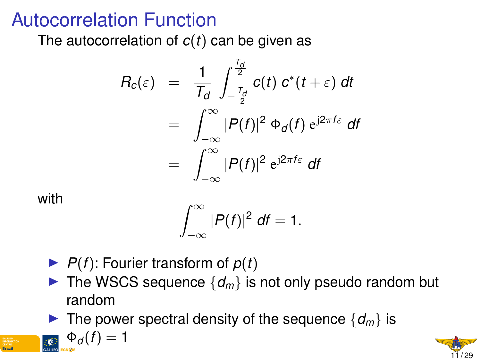#### Autocorrelation Function

The autocorrelation of *c*(*t*) can be given as

$$
R_c(\varepsilon) = \frac{1}{T_d} \int_{-\frac{T_d}{2}}^{\frac{T_d}{2}} c(t) \, c^*(t + \varepsilon) \, dt
$$
  
= 
$$
\int_{-\infty}^{\infty} |P(f)|^2 \, \Phi_d(f) \, e^{j2\pi f \varepsilon} \, df
$$
  
= 
$$
\int_{-\infty}^{\infty} |P(f)|^2 \, e^{j2\pi f \varepsilon} \, df
$$

with

$$
\int_{-\infty}^{\infty} |P(f)|^2 \, df = 1.
$$

 $\blacktriangleright$  *P*(*f*): Fourier transform of *p*(*t*)

 $\Phi_d(f) = 1$ 

- $\blacktriangleright$  The WSCS sequence  $\{d_m\}$  is not only pseudo random but random
- If The power spectral density of the sequence  $\{d_m\}$  is

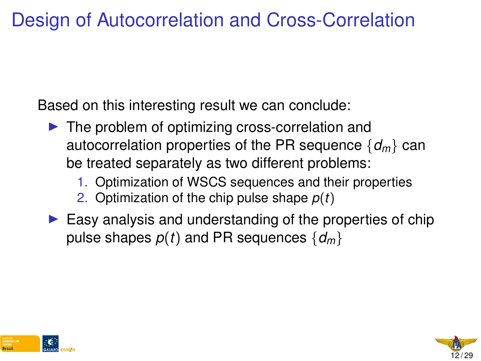#### Design of Autocorrelation and Cross-Correlation

Based on this interesting result we can conclude:

- $\blacktriangleright$  The problem of optimizing cross-correlation and autocorrelation properties of the PR sequence {*dm*} can be treated separately as two different problems:
	- 1. Optimization of WSCS sequences and their properties
	- 2. Optimization of the chip pulse shape *p*(*t*)
- $\blacktriangleright$  Easy analysis and understanding of the properties of chip pulse shapes  $p(t)$  and PR sequences  $\{d_m\}$



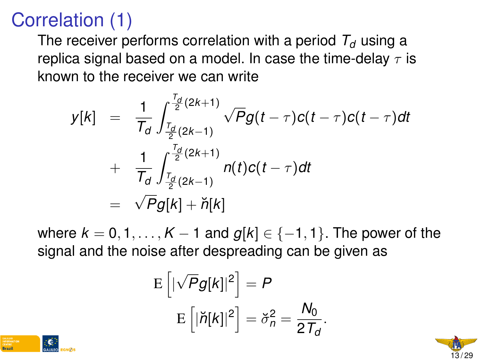## Correlation (1)

The receiver performs correlation with a period  $T_d$  using a replica signal based on a model. In case the time-delay  $\tau$  is known to the receiver we can write

$$
y[k] = \frac{1}{T_d} \int_{\frac{T_d}{2}(2k+1)}^{\frac{T_d}{2}(2k+1)} \sqrt{P} g(t-\tau) c(t-\tau) c(t-\tau) dt
$$
  
+ 
$$
\frac{1}{T_d} \int_{\frac{T_d}{2}(2k+1)}^{\frac{T_d}{2}(2k+1)} n(t) c(t-\tau) dt
$$
  
= 
$$
\sqrt{P} g[k] + \breve{n}[k]
$$

where  $k = 0, 1, ..., K - 1$  and  $g[k] \in \{-1, 1\}$ . The power of the signal and the noise after despreading can be given as

$$
E\left[|\sqrt{P}g[k]|^2\right] = P
$$

$$
E\left[|\breve{n}[k]|^2\right] = \breve{\sigma}_n^2 = \frac{N_0}{2T_d}.
$$



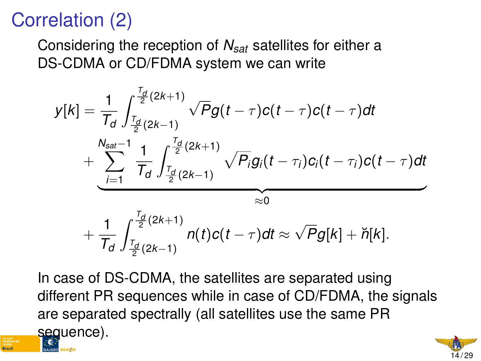## Correlation (2)

Considering the reception of *Nsat* satellites for either a DS-CDMA or CD/FDMA system we can write

$$
y[k] = \frac{1}{T_d} \int_{\frac{T_d}{2}(2k+1)}^{\frac{T_d}{2}(2k+1)} \sqrt{P}g(t-\tau)c(t-\tau)c(t-\tau)dt + \underbrace{\sum_{i=1}^{N_{sat}-1} \frac{1}{T_d} \int_{\frac{T_d}{2}(2k+1)}^{\frac{T_d}{2}(2k+1)} \sqrt{P}_ig_i(t-\tau_i)c_i(t-\tau_i)c(t-\tau)dt}_{\approx 0} + \frac{1}{T_d} \int_{\frac{T_d}{2}(2k+1)}^{\frac{T_d}{2}(2k+1)} n(t)c(t-\tau)dt \approx \sqrt{P}g[k] + \breve{n}[k].
$$

In case of DS-CDMA, the satellites are separated using different PR sequences while in case of CD/FDMA, the signals are separated spectrally (all satellites use the same PR sequence).

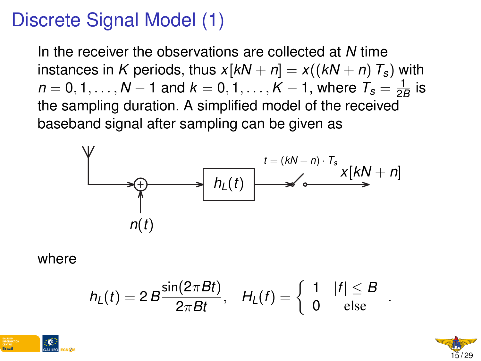### Discrete Signal Model (1)

In the receiver the observations are collected at *N* time instances in *K* periods, thus  $x[kN + n] = x((kN + n)T_s)$  with  $n=0,1,\ldots,N-1$  and  $k=0,1,\ldots,K-1,$  where  $\mathcal{T}_{\mathcal{S}}=\frac{1}{2k}$  $\frac{1}{2B}$  is the sampling duration. A simplified model of the received baseband signal after sampling can be given as



where

$$
h_L(t) = 2 B \frac{\sin(2\pi Bt)}{2\pi B t}, \quad H_L(f) = \left\{ \begin{array}{ll} 1 & |f| \leq B \\ 0 & \mathrm{else} \end{array} \right..
$$



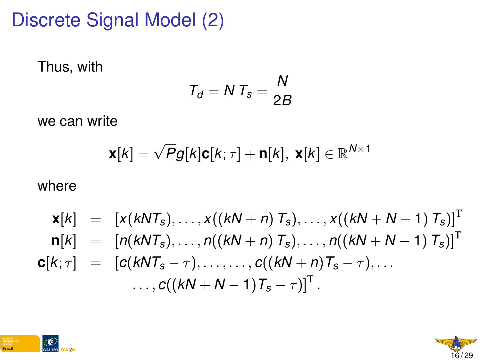### Discrete Signal Model (2)

Thus, with

$$
T_d = N T_s = \frac{N}{2B}
$$

we can write

$$
\mathbf{x}[k] = \sqrt{P}g[k]\mathbf{c}[k;\tau] + \mathbf{n}[k], \mathbf{x}[k] \in \mathbb{R}^{N \times 1}
$$

where

$$
\mathbf{x}[k] = [x(kNT_s), ..., x((kN + n) T_s), ..., x((kN + N - 1) T_s)]^T \n\mathbf{n}[k] = [n(kNT_s), ..., n((kN + n) T_s), ..., n((kN + N - 1) T_s)]^T \n\mathbf{c}[k; \tau] = [c(kNT_s - \tau), ..., ..., c((kN + n) T_s - \tau), ... \n... , c((kN + N - 1) T_s - \tau)]^T.
$$



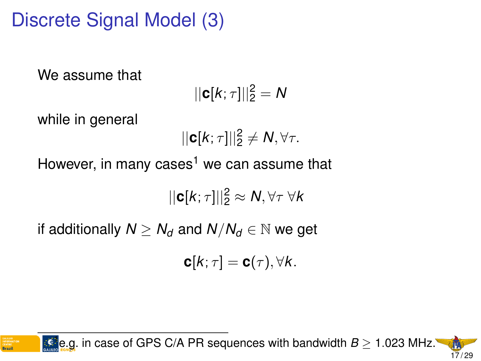# Discrete Signal Model (3)

We assume that

$$
||\mathbf{c}[k;\tau]||_2^2=N
$$

while in general

$$
||\mathbf{c}[k;\tau]||_2^2 \neq N, \forall \tau.
$$

However, in many cases<sup>1</sup> we can assume that

$$
||\mathbf{c}[k;\tau]||_2^2 \approx N, \forall \tau \; \forall k
$$

if additionally  $N > N_d$  and  $N/N_d \in \mathbb{N}$  we get

$$
\mathbf{c}[k;\tau]=\mathbf{c}(\tau),\forall k.
$$

1 e.g. in case of GPS C/A PR sequences with bandwidth *B* ≥ 1.023 MHz. 17 / 29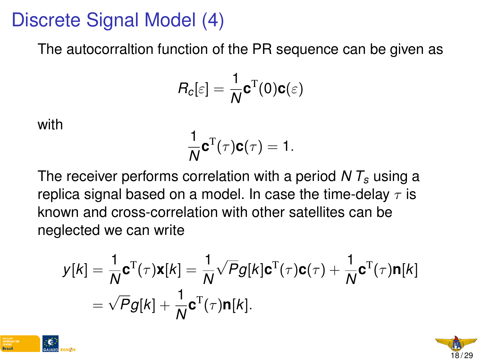#### Discrete Signal Model (4)

The autocorraltion function of the PR sequence can be given as

$$
R_c[\varepsilon] = \frac{1}{N} \mathbf{c}^{\mathrm{T}}(0) \mathbf{c}(\varepsilon)
$$

with

$$
\frac{1}{N}\mathbf{c}^{\mathrm{T}}(\tau)\mathbf{c}(\tau)=1.
$$

The receiver performs correlation with a period *N T<sup>s</sup>* using a replica signal based on a model. In case the time-delay  $\tau$  is known and cross-correlation with other satellites can be neglected we can write

$$
y[k] = \frac{1}{N} \mathbf{c}^{T}(\tau) \mathbf{x}[k] = \frac{1}{N} \sqrt{P} g[k] \mathbf{c}^{T}(\tau) \mathbf{c}(\tau) + \frac{1}{N} \mathbf{c}^{T}(\tau) \mathbf{n}[k]
$$

$$
= \sqrt{P} g[k] + \frac{1}{N} \mathbf{c}^{T}(\tau) \mathbf{n}[k].
$$



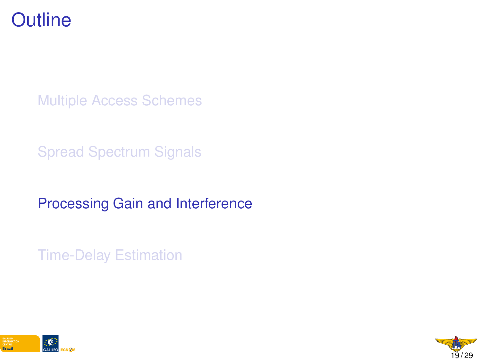

[Multiple Access Schemes](#page-1-0)

[Spread Spectrum Signals](#page-0-0)

[Processing Gain and Interference](#page-0-0)

[Time-Delay Estimation](#page-0-0)



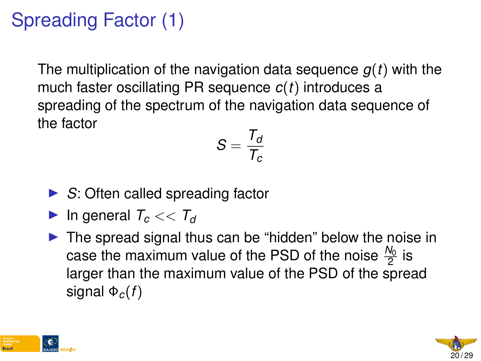# Spreading Factor (1)

The multiplication of the navigation data sequence *g*(*t*) with the much faster oscillating PR sequence *c*(*t*) introduces a spreading of the spectrum of the navigation data sequence of the factor

$$
S=\frac{T_d}{T_c}
$$

- ► *S*: Often called spreading factor
- In general  $T_c \ll T_d$
- $\triangleright$  The spread signal thus can be "hidden" below the noise in case the maximum value of the PSD of the noise  $\frac{N_0}{2}$  is larger than the maximum value of the PSD of the spread signal  $\Phi_c(f)$



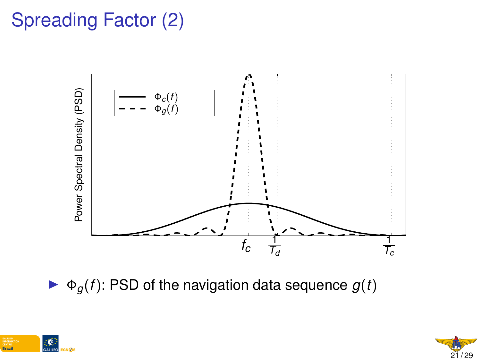# Spreading Factor (2)



 $\blacktriangleright \Phi_q(f)$ : PSD of the navigation data sequence  $g(t)$ 



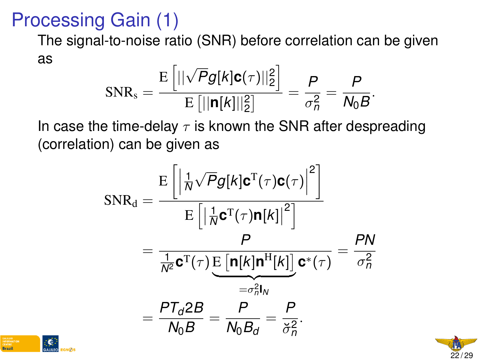### Processing Gain (1)

The signal-to-noise ratio (SNR) before correlation can be given as

$$
\text{SNR}_s = \frac{\text{E}\left[||\sqrt{P}g[k]\mathbf{c}(\tau)||_2^2\right]}{\text{E}\left[||\mathbf{n}[k]||_2^2\right]} = \frac{P}{\sigma_n^2} = \frac{P}{N_0B}.
$$

In case the time-delay  $\tau$  is known the SNR after despreading (correlation) can be given as

$$
SNR_{d} = \frac{E\left[\left|\frac{1}{N}\sqrt{P}g[k]\mathbf{C}^{T}(\tau)\mathbf{C}(\tau)\right|^{2}\right]}{E\left[\left|\frac{1}{N}\mathbf{C}^{T}(\tau)\mathbf{n}[k]\right|^{2}\right]}
$$

$$
= \frac{P}{\frac{1}{N^{2}}\mathbf{C}^{T}(\tau)\underbrace{E\left[\mathbf{n}[k]\mathbf{n}^{H}[k]\right]}_{=-\sigma_{n}^{2}l_{N}}\mathbf{C}^{*}(\tau)} = \frac{PN}{\sigma_{n}^{2}}
$$

$$
= \frac{PT_{d}2B}{N_{0}B} = \frac{P}{N_{0}B_{d}} = \frac{P}{\breve{\sigma}_{n}^{2}}.
$$



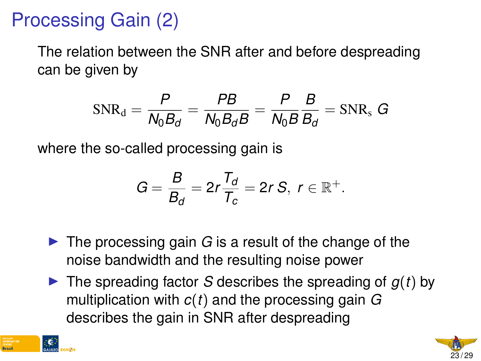### Processing Gain (2)

The relation between the SNR after and before despreading can be given by

$$
\text{SNR}_\text{d} = \frac{P}{N_0 B_d} = \frac{PB}{N_0 B_d B} = \frac{P}{N_0 B} \frac{B}{B_d} = \text{SNR}_\text{s} \ G
$$

where the so-called processing gain is

$$
G=\frac{B}{B_d}=2r\frac{T_d}{T_c}=2rS,\ r\in\mathbb{R}^+.
$$

- $\blacktriangleright$  The processing gain *G* is a result of the change of the noise bandwidth and the resulting noise power
- $\blacktriangleright$  The spreading factor *S* describes the spreading of  $g(t)$  by multiplication with *c*(*t*) and the processing gain *G* describes the gain in SNR after despreading



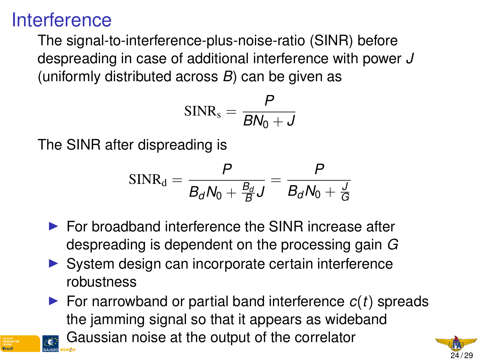#### **Interference**

The signal-to-interference-plus-noise-ratio (SINR) before despreading in case of additional interference with power *J* (uniformly distributed across *B*) can be given as

$$
SINR_s = \frac{P}{BN_0 + J}
$$

The SINR after dispreading is

$$
\text{SINR}_\text{d} = \frac{P}{B_d N_0 + \frac{B_d}{B} J} = \frac{P}{B_d N_0 + \frac{J}{G}}
$$

- $\blacktriangleright$  For broadband interference the SINR increase after despreading is dependent on the processing gain *G*
- $\triangleright$  System design can incorporate certain interference robustness

 $\triangleright$  For narrowband or partial band interference  $c(t)$  spreads the jamming signal so that it appears as wideband

Gaussian noise at the output of the correlator

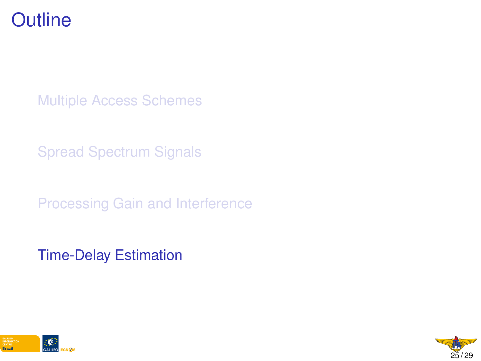#### **Outline**

[Multiple Access Schemes](#page-1-0)

[Spread Spectrum Signals](#page-0-0)

[Processing Gain and Interference](#page-0-0)

[Time-Delay Estimation](#page-0-0)



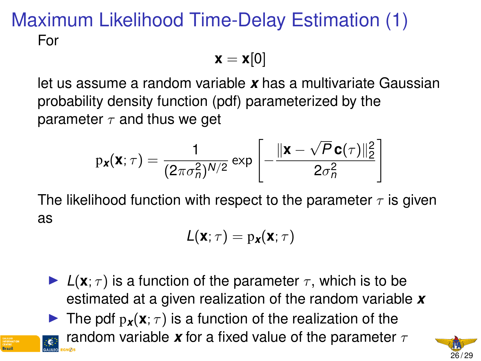#### Maximum Likelihood Time-Delay Estimation (1) For

$$
\mathbf{x} = \mathbf{x}[0]
$$

let us assume a random variable *x* has a multivariate Gaussian probability density function (pdf) parameterized by the parameter  $\tau$  and thus we get

$$
p_{\boldsymbol{x}}(\boldsymbol{x};\tau) = \frac{1}{(2\pi\sigma_n^2)^{N/2}} \exp\left[-\frac{\|\boldsymbol{x}-\sqrt{P}\boldsymbol{c}(\tau)\|_2^2}{2\sigma_n^2}\right]
$$

The likelihood function with respect to the parameter  $\tau$  is given as

$$
L(\mathbf{x};\tau)=p_{\mathbf{x}}(\mathbf{x};\tau)
$$

 $\blacktriangleright$   $L(\mathbf{x}; \tau)$  is a function of the parameter  $\tau$ , which is to be estimated at a given realization of the random variable *x*

**IGC The pdf**  $p_{\mathbf{x}}(\mathbf{x}; \tau)$  **is a function of the realization of the** random variable **x** for a fixed value of the parameter  $\tau$ 

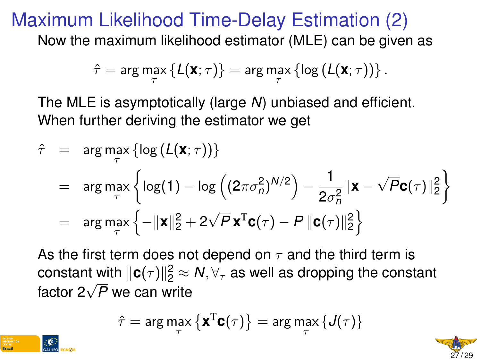#### Maximum Likelihood Time-Delay Estimation (2)

Now the maximum likelihood estimator (MLE) can be given as

$$
\hat{\tau} = \arg \max_{\tau} \{ \mathcal{L}(\mathbf{X}; \tau) \} = \arg \max_{\tau} \{ \log \left( \mathcal{L}(\mathbf{X}; \tau) \right) \}.
$$

The MLE is asymptotically (large *N*) unbiased and efficient. When further deriving the estimator we get

$$
\hat{\tau} = \arg \max_{\tau} \left\{ \log \left( L(\mathbf{X}; \tau) \right) \right\}
$$
\n
$$
= \arg \max_{\tau} \left\{ \log(1) - \log \left( (2\pi \sigma_n^2)^{N/2} \right) - \frac{1}{2\sigma_n^2} ||\mathbf{X} - \sqrt{P} \mathbf{C}(\tau) ||_2^2 \right\}
$$
\n
$$
= \arg \max_{\tau} \left\{ -\|\mathbf{X}\|_2^2 + 2\sqrt{P} \mathbf{X}^T \mathbf{C}(\tau) - P \| \mathbf{C}(\tau) ||_2^2 \right\}
$$

As the first term does not depend on  $\tau$  and the third term is constant with  $\|\mathbf{c}(\tau)\|_2^2 \approx \mathcal{N}, \forall_{\tau}$  as well as dropping the constant constant with  $||c(7)||_2 \approx$ <br>factor 2√*P* we can write

$$
\hat{\tau} = \arg\max_{\tau} \left\{ \mathbf{x}^{\mathrm{T}} \mathbf{C}(\tau) \right\} = \arg\max_{\tau} \left\{ J(\tau) \right\}
$$



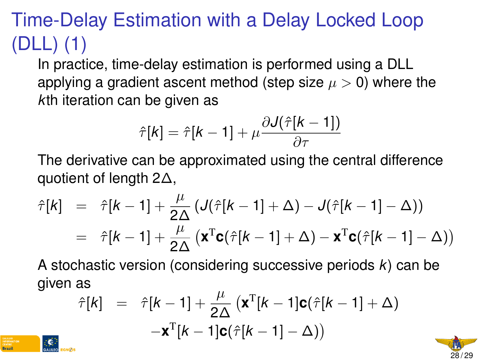# Time-Delay Estimation with a Delay Locked Loop (DLL) (1)

In practice, time-delay estimation is performed using a DLL applying a gradient ascent method (step size  $\mu > 0$ ) where the *k*th iteration can be given as

$$
\hat{\tau}[k] = \hat{\tau}[k-1] + \mu \frac{\partial \mathcal{J}(\hat{\tau}[k-1])}{\partial \tau}
$$

The derivative can be approximated using the central difference quotient of length 2∆,

$$
\hat{\tau}[k] = \hat{\tau}[k-1] + \frac{\mu}{2\Delta} \left( J(\hat{\tau}[k-1] + \Delta) - J(\hat{\tau}[k-1] - \Delta) \right)
$$

$$
= \hat{\tau}[k-1] + \frac{\mu}{2\Delta} \left( \mathbf{x}^{\mathrm{T}} \mathbf{c}(\hat{\tau}[k-1] + \Delta) - \mathbf{x}^{\mathrm{T}} \mathbf{c}(\hat{\tau}[k-1] - \Delta) \right)
$$

A stochastic version (considering successive periods *k*) can be given as

$$
\hat{\tau}[k] = \hat{\tau}[k-1] + \frac{\mu}{2\Delta} (\mathbf{x}^{T}[k-1]\mathbf{c}(\hat{\tau}[k-1] + \Delta))
$$

$$
-\mathbf{x}^{T}[k-1]\mathbf{c}(\hat{\tau}[k-1] - \Delta))
$$